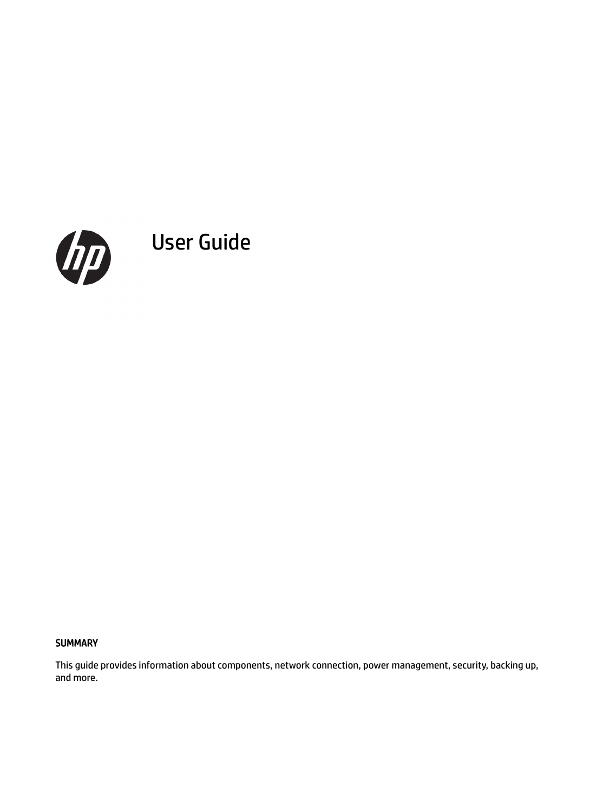

User Guide

#### **SUMMARY**

This guide provides information about components, network connection, power management, security, backing up, and more.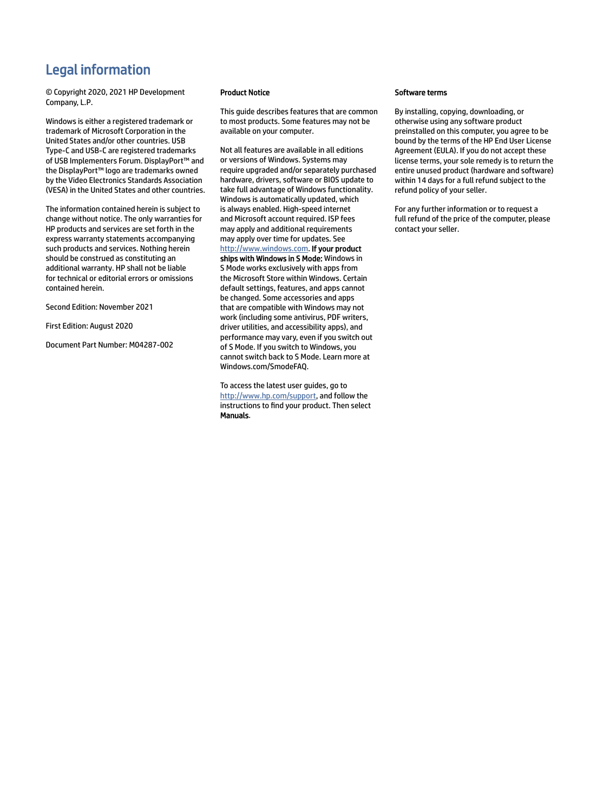# Legal information

© Copyright 2020, 2021 HP Development Company, L.P.

Windows is either a registered trademark or trademark of Microsoft Corporation in the United States and/or other countries. USB Type-C and USB-C are registered trademarks of USB Implementers Forum. DisplayPort™ and the DisplayPort™ logo are trademarks owned by the Video Electronics Standards Association (VESA) in the United States and other countries.

The information contained herein is subject to change without notice. The only warranties for HP products and services are set forth in the express warranty statements accompanying such products and services. Nothing herein should be construed as constituting an additional warranty. HP shall not be liable for technical or editorial errors or omissions contained herein.

Second Edition: November 2021

First Edition: August 2020

Document Part Number: M04287-002

#### Product Notice

This guide describes features that are common to most products. Some features may not be available on your computer.

Not all features are available in all editions or versions of Windows. Systems may require upgraded and/or separately purchased hardware, drivers, software or BIOS update to take full advantage of Windows functionality. Windows is automatically updated, which is always enabled. High-speed internet and Microsoft account required. ISP fees may apply and additional requirements may apply over time for updates. See [http://www.windows.com.](http://www.windows.com) If your product ships with Windows in S Mode: Windows in S Mode works exclusively with apps from the Microsoft Store within Windows. Certain default settings, features, and apps cannot be changed. Some accessories and apps that are compatible with Windows may not work (including some antivirus, PDF writers, driver utilities, and accessibility apps), and performance may vary, even if you switch out of S Mode. If you switch to Windows, you cannot switch back to S Mode. Learn more at Windows.com/SmodeFAQ.

To access the latest user guides, go to [http://www.hp.com/support,](http://www.hp.com/support) and follow the instructions to find your product. Then select Manuals.

#### Software terms

By installing, copying, downloading, or otherwise using any software product preinstalled on this computer, you agree to be bound by the terms of the HP End User License Agreement (EULA). If you do not accept these license terms, your sole remedy is to return the entire unused product (hardware and software) within 14 days for a full refund subject to the refund policy of your seller.

For any further information or to request a full refund of the price of the computer, please contact your seller.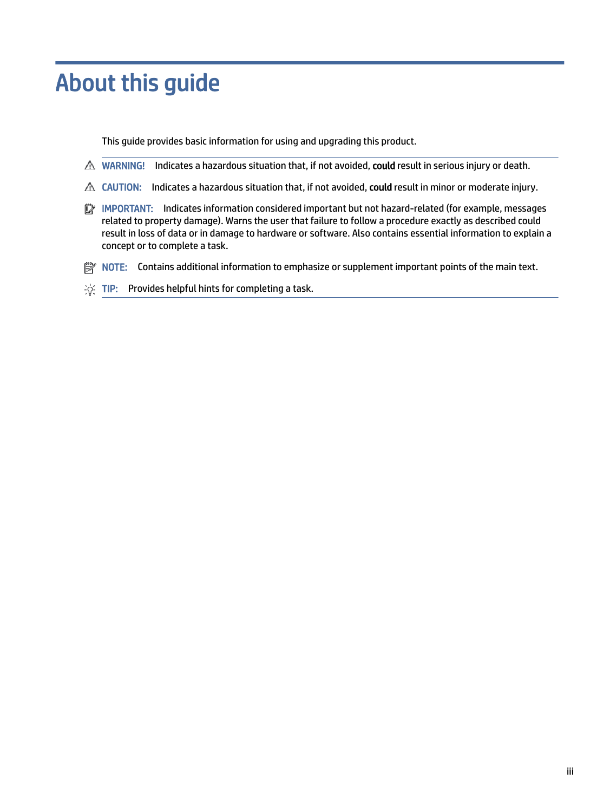# About this guide

This guide provides basic information for using and upgrading this product.

- △ WARNING! Indicates a hazardous situation that, if not avoided, could result in serious injury or death.
- $\triangle$  CAUTION: Indicates a hazardous situation that, if not avoided, could result in minor or moderate injury.
- IMPORTANT: Indicates information considered important but not hazard-related (for example, messages related to property damage). Warns the user that failure to follow a procedure exactly as described could result in loss of data or in damage to hardware or software. Also contains essential information to explain a concept or to complete a task.
- **EX** NOTE: Contains additional information to emphasize or supplement important points of the main text.
- $\frac{1}{20}$ : TIP: Provides helpful hints for completing a task.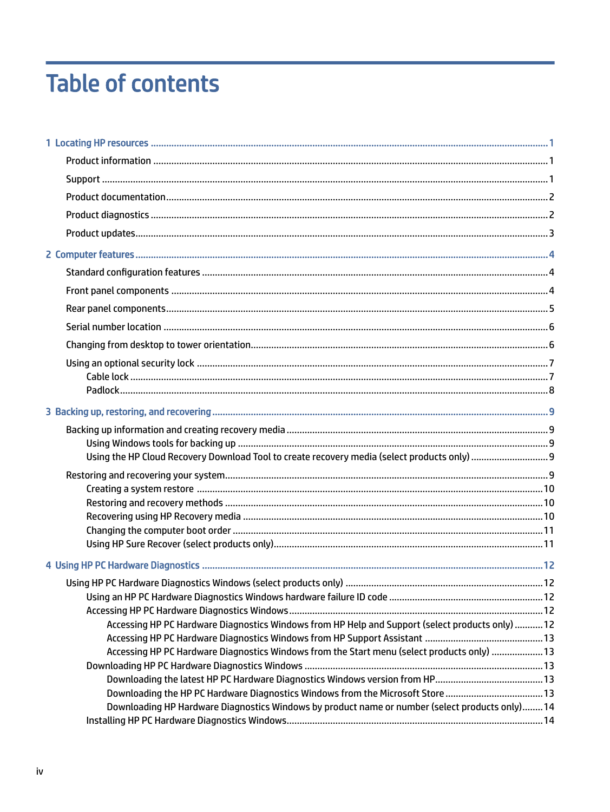# **Table of contents**

| Accessing HP PC Hardware Diagnostics Windows from HP Help and Support (select products only)  12 |  |
|--------------------------------------------------------------------------------------------------|--|
|                                                                                                  |  |
| Accessing HP PC Hardware Diagnostics Windows from the Start menu (select products only)  13      |  |
|                                                                                                  |  |
|                                                                                                  |  |
| Downloading the HP PC Hardware Diagnostics Windows from the Microsoft Store 13                   |  |
| Downloading HP Hardware Diagnostics Windows by product name or number (select products only) 14  |  |
|                                                                                                  |  |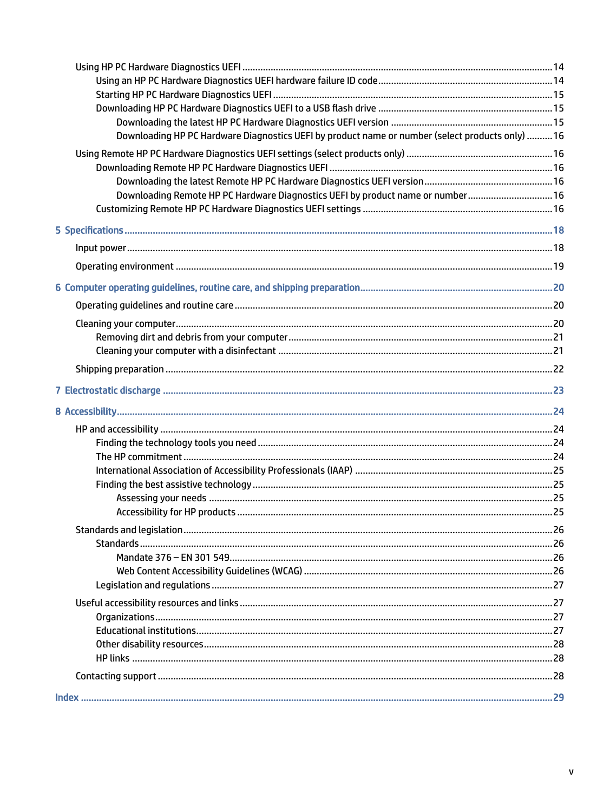| Downloading HP PC Hardware Diagnostics UEFI by product name or number (select products only)  16 |  |
|--------------------------------------------------------------------------------------------------|--|
|                                                                                                  |  |
|                                                                                                  |  |
| Downloading Remote HP PC Hardware Diagnostics UEFI by product name or number 16                  |  |
|                                                                                                  |  |
|                                                                                                  |  |
|                                                                                                  |  |
|                                                                                                  |  |
|                                                                                                  |  |
|                                                                                                  |  |
|                                                                                                  |  |
|                                                                                                  |  |
|                                                                                                  |  |
|                                                                                                  |  |
|                                                                                                  |  |
|                                                                                                  |  |
|                                                                                                  |  |
|                                                                                                  |  |
|                                                                                                  |  |
|                                                                                                  |  |
|                                                                                                  |  |
|                                                                                                  |  |
|                                                                                                  |  |
|                                                                                                  |  |
|                                                                                                  |  |
|                                                                                                  |  |
|                                                                                                  |  |
|                                                                                                  |  |
|                                                                                                  |  |
|                                                                                                  |  |
|                                                                                                  |  |
|                                                                                                  |  |
|                                                                                                  |  |
|                                                                                                  |  |
|                                                                                                  |  |
|                                                                                                  |  |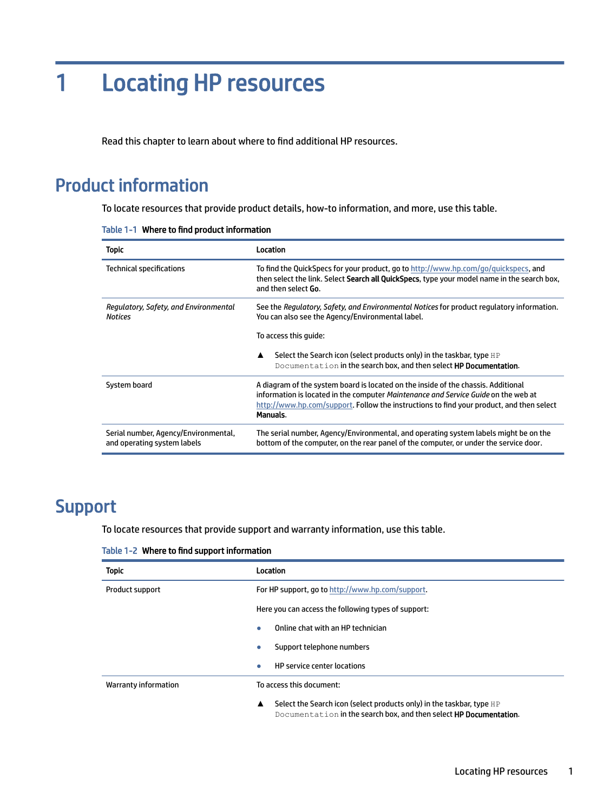# <span id="page-5-0"></span>1 Locating HP resources

Read this chapter to learn about where to find additional HP resources.

# Product information

To locate resources that provide product details, how-to information, and more, use this table.

|  |  | Table 1-1 Where to find product information |  |
|--|--|---------------------------------------------|--|
|--|--|---------------------------------------------|--|

| Topic                                                               | Location                                                                                                                                                                                                                                                                        |  |
|---------------------------------------------------------------------|---------------------------------------------------------------------------------------------------------------------------------------------------------------------------------------------------------------------------------------------------------------------------------|--|
| Technical specifications                                            | To find the QuickSpecs for your product, go to http://www.hp.com/go/quickspecs, and<br>then select the link. Select Search all QuickSpecs, type your model name in the search box,<br>and then select <b>Go</b> .                                                               |  |
| Regulatory, Safety, and Environmental<br><b>Notices</b>             | See the Regulatory, Safety, and Environmental Notices for product regulatory information.<br>You can also see the Agency/Environmental label.                                                                                                                                   |  |
|                                                                     | To access this quide:                                                                                                                                                                                                                                                           |  |
|                                                                     | Select the Search icon (select products only) in the taskbar, type HP<br>▲<br>Documentation in the search box, and then select HP Documentation.                                                                                                                                |  |
| System board                                                        | A diagram of the system board is located on the inside of the chassis. Additional<br>information is located in the computer Maintenance and Service Guide on the web at<br>http://www.hp.com/support. Follow the instructions to find your product, and then select<br>Manuals. |  |
| Serial number, Agency/Environmental,<br>and operating system labels | The serial number, Agency/Environmental, and operating system labels might be on the<br>bottom of the computer, on the rear panel of the computer, or under the service door.                                                                                                   |  |

# **Support**

To locate resources that provide support and warranty information, use this table.

Table 1-2 Where to find support information

| <b>Topic</b>         | Location                                                                                                                                                        |  |  |
|----------------------|-----------------------------------------------------------------------------------------------------------------------------------------------------------------|--|--|
| Product support      | For HP support, go to http://www.hp.com/support.                                                                                                                |  |  |
|                      | Here you can access the following types of support:                                                                                                             |  |  |
|                      | Online chat with an HP technician<br>$\bullet$                                                                                                                  |  |  |
|                      | Support telephone numbers<br>$\bullet$                                                                                                                          |  |  |
|                      | <b>HP</b> service center locations<br>$\bullet$                                                                                                                 |  |  |
| Warranty information | To access this document:                                                                                                                                        |  |  |
|                      | Select the Search icon (select products only) in the taskbar, type HP<br>$\blacktriangle$<br>Documentation in the search box, and then select HP Documentation. |  |  |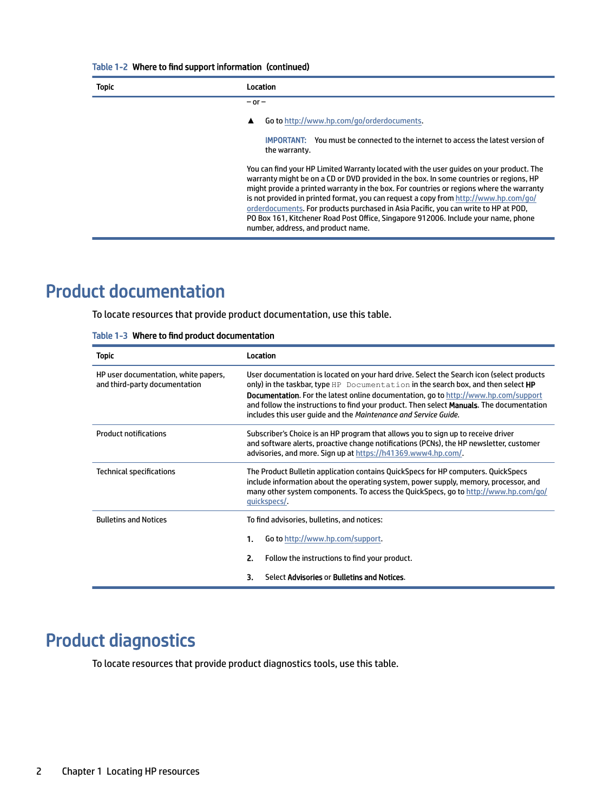#### <span id="page-6-0"></span>Table 1-2 Where to find support information (continued)

| <b>Topic</b> | Location                                                                                                                                                                                                                                                                                                                                                                                                                                                                                                                                                                                 |  |  |
|--------------|------------------------------------------------------------------------------------------------------------------------------------------------------------------------------------------------------------------------------------------------------------------------------------------------------------------------------------------------------------------------------------------------------------------------------------------------------------------------------------------------------------------------------------------------------------------------------------------|--|--|
|              | $-$ or $-$                                                                                                                                                                                                                                                                                                                                                                                                                                                                                                                                                                               |  |  |
|              | Go to http://www.hp.com/go/orderdocuments.                                                                                                                                                                                                                                                                                                                                                                                                                                                                                                                                               |  |  |
|              | <b>IMPORTANT:</b> You must be connected to the internet to access the latest version of<br>the warranty.                                                                                                                                                                                                                                                                                                                                                                                                                                                                                 |  |  |
|              | You can find your HP Limited Warranty located with the user guides on your product. The<br>warranty might be on a CD or DVD provided in the box. In some countries or regions, HP<br>might provide a printed warranty in the box. For countries or regions where the warranty<br>is not provided in printed format, you can request a copy from http://www.hp.com/go/<br>orderdocuments. For products purchased in Asia Pacific, you can write to HP at POD,<br>PO Box 161, Kitchener Road Post Office, Singapore 912006. Include your name, phone<br>number, address, and product name. |  |  |

# Product documentation

To locate resources that provide product documentation, use this table.

|  |  | Table 1-3 Where to find product documentation |  |
|--|--|-----------------------------------------------|--|
|--|--|-----------------------------------------------|--|

| <b>Topic</b>                                                          | Location                                                                                                                                                                                                                                                                                                                                                                                                                                            |  |  |
|-----------------------------------------------------------------------|-----------------------------------------------------------------------------------------------------------------------------------------------------------------------------------------------------------------------------------------------------------------------------------------------------------------------------------------------------------------------------------------------------------------------------------------------------|--|--|
| HP user documentation, white papers,<br>and third-party documentation | User documentation is located on your hard drive. Select the Search icon (select products<br>only) in the taskbar, type HP Documentation in the search box, and then select HP<br><b>Documentation.</b> For the latest online documentation, go to http://www.hp.com/support<br>and follow the instructions to find your product. Then select <b>Manuals</b> . The documentation<br>includes this user quide and the Maintenance and Service Guide. |  |  |
| <b>Product notifications</b>                                          | Subscriber's Choice is an HP program that allows you to sign up to receive driver<br>and software alerts, proactive change notifications (PCNs), the HP newsletter, customer<br>advisories, and more. Sign up at https://h41369.www4.hp.com/.                                                                                                                                                                                                       |  |  |
| Technical specifications                                              | The Product Bulletin application contains QuickSpecs for HP computers. QuickSpecs<br>include information about the operating system, power supply, memory, processor, and<br>many other system components. To access the QuickSpecs, go to http://www.hp.com/go/<br>quickspecs/.                                                                                                                                                                    |  |  |
| <b>Bulletins and Notices</b>                                          | To find advisories, bulletins, and notices:                                                                                                                                                                                                                                                                                                                                                                                                         |  |  |
|                                                                       | 1.<br>Go to http://www.hp.com/support.                                                                                                                                                                                                                                                                                                                                                                                                              |  |  |
|                                                                       | 2.<br>Follow the instructions to find your product.                                                                                                                                                                                                                                                                                                                                                                                                 |  |  |
|                                                                       | Select Advisories or Bulletins and Notices.<br>3.                                                                                                                                                                                                                                                                                                                                                                                                   |  |  |

# Product diagnostics

To locate resources that provide product diagnostics tools, use this table.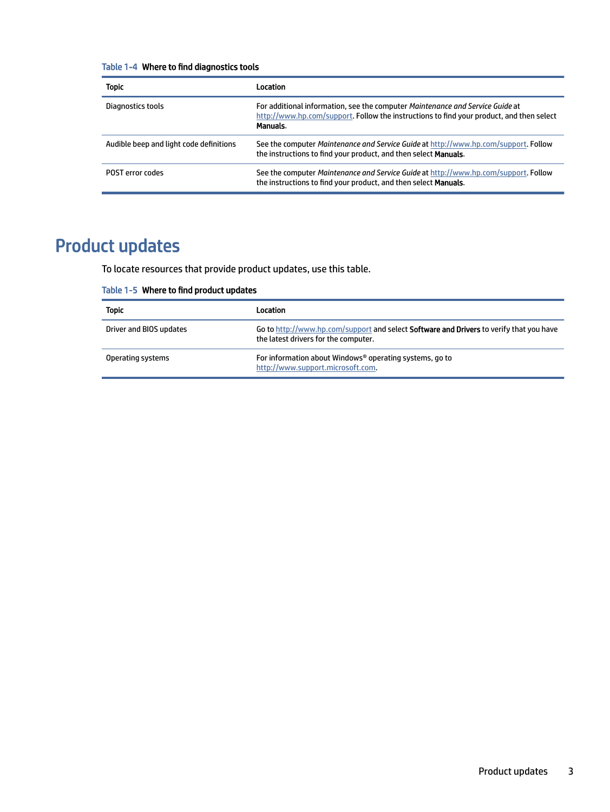#### <span id="page-7-0"></span>Table 1-4 Where to find diagnostics tools

| <b>Topic</b>                            | <b>Location</b>                                                                                                                                                                       |
|-----------------------------------------|---------------------------------------------------------------------------------------------------------------------------------------------------------------------------------------|
| Diagnostics tools                       | For additional information, see the computer Maintenance and Service Guide at<br>http://www.hp.com/support. Follow the instructions to find your product, and then select<br>Manuals. |
| Audible beep and light code definitions | See the computer Maintenance and Service Guide at http://www.hp.com/support. Follow<br>the instructions to find your product, and then select Manuals.                                |
| <b>POST</b> error codes                 | See the computer Maintenance and Service Guide at http://www.hp.com/support. Follow<br>the instructions to find your product, and then select <b>Manuals</b> .                        |

# Product updates

To locate resources that provide product updates, use this table.

#### Table 1-5 Where to find product updates

| <b>Topic</b>            | Location                                                                                                                               |
|-------------------------|----------------------------------------------------------------------------------------------------------------------------------------|
| Driver and BIOS updates | Go to http://www.hp.com/support and select <b>Software and Drivers</b> to verify that you have<br>the latest drivers for the computer. |
| Operating systems       | For information about Windows <sup>®</sup> operating systems, go to<br>http://www.support.microsoft.com.                               |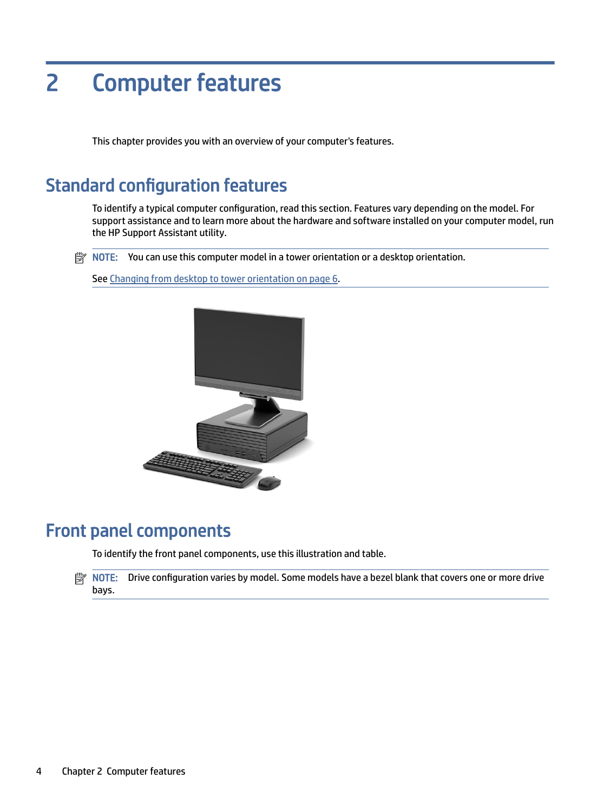# <span id="page-8-0"></span>2 Computer features

This chapter provides you with an overview of your computer's features.

# Standard configuration features

To identify a typical computer configuration, read this section. Features vary depending on the model. For support assistance and to learn more about the hardware and software installed on your computer model, run the HP Support Assistant utility.

**EX** NOTE: You can use this computer model in a tower orientation or a desktop orientation.

See [Changing from desktop to tower orientation](#page-10-0) on page 6.



# Front panel components

To identify the front panel components, use this illustration and table.

NOTE: Drive configuration varies by model. Some models have a bezel blank that covers one or more drive bays.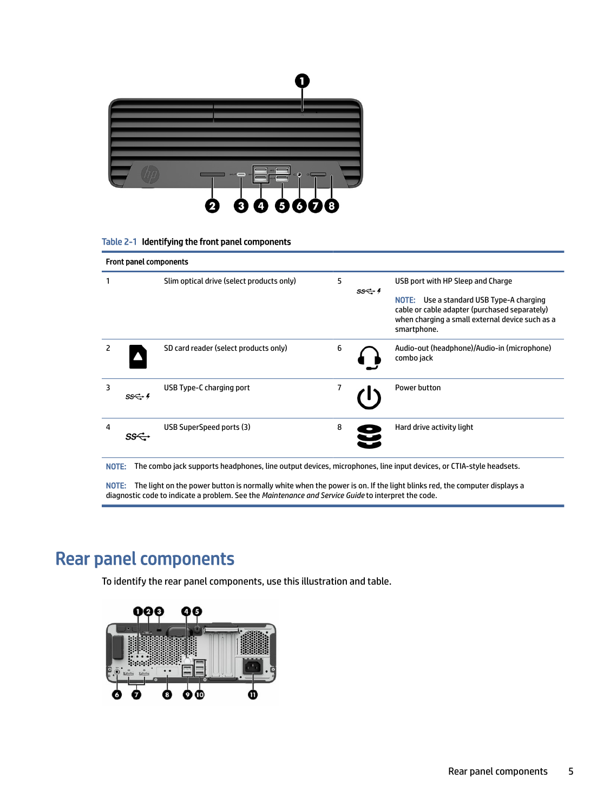<span id="page-9-0"></span>![](_page_9_Picture_0.jpeg)

#### Table 2-1 Identifying the front panel components

| <b>Front panel components</b> |                   |                                           |   |                   |                                                                                                                                                                                                     |
|-------------------------------|-------------------|-------------------------------------------|---|-------------------|-----------------------------------------------------------------------------------------------------------------------------------------------------------------------------------------------------|
|                               |                   | Slim optical drive (select products only) | 5 | $SS \leftarrow 4$ | USB port with HP Sleep and Charge<br>Use a standard USB Type-A charging<br>NOTE:<br>cable or cable adapter (purchased separately)<br>when charging a small external device such as a<br>smartphone. |
| 2                             |                   | SD card reader (select products only)     | 6 |                   | Audio-out (headphone)/Audio-in (microphone)<br>combo jack                                                                                                                                           |
| 3                             | $SS \leftarrow 4$ | USB Type-C charging port                  | 7 |                   | Power button                                                                                                                                                                                        |
| 4                             |                   | USB SuperSpeed ports (3)                  | 8 |                   | Hard drive activity light                                                                                                                                                                           |

NOTE: The combo jack supports headphones, line output devices, microphones, line input devices, or CTIA-style headsets.

NOTE: The light on the power button is normally white when the power is on. If the light blinks red, the computer displays a diagnostic code to indicate a problem. See the *Maintenance and Service Guide* to interpret the code.

# Rear panel components

To identify the rear panel components, use this illustration and table.

![](_page_9_Figure_7.jpeg)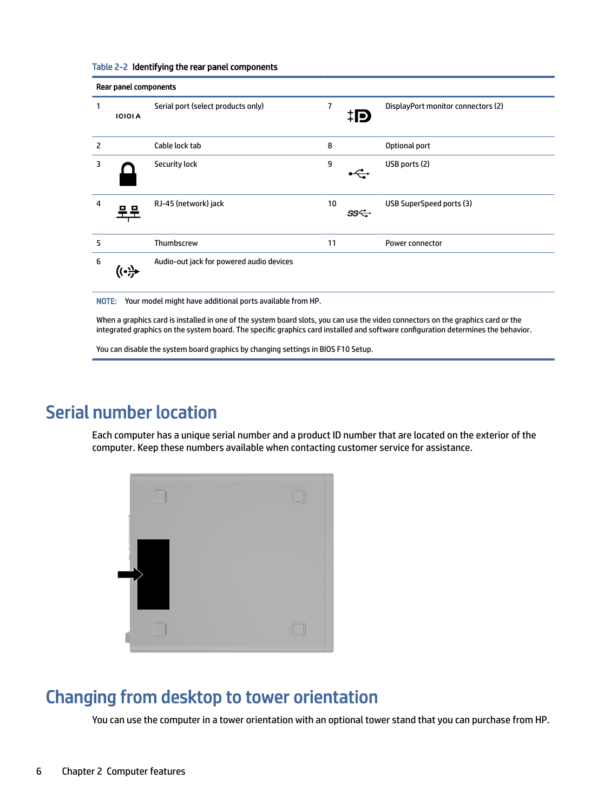| Rear panel components |                |                                          |    |     |                                    |
|-----------------------|----------------|------------------------------------------|----|-----|------------------------------------|
| 1                     | <b>IOIOI A</b> | Serial port (select products only)       | 7  | ĦΡ  | DisplayPort monitor connectors (2) |
| 2                     |                | Cable lock tab                           | 8  |     | Optional port                      |
| 3                     |                | <b>Security lock</b>                     | 9  |     | USB ports (2)                      |
| $\overline{4}$        |                | RJ-45 (network) jack                     | 10 | ss← | USB SuperSpeed ports (3)           |
| 5                     |                | Thumbscrew                               | 11 |     | <b>Power connector</b>             |
| 6                     | ت .            | Audio-out jack for powered audio devices |    |     |                                    |

#### <span id="page-10-0"></span>Table 2-2 Identifying the rear panel components

NOTE: Your model might have additional ports available from HP.

When a graphics card is installed in one of the system board slots, you can use the video connectors on the graphics card or the integrated graphics on the system board. The specific graphics card installed and software configuration determines the behavior.

You can disable the system board graphics by changing settings in BIOS F10 Setup.

# Serial number location

Each computer has a unique serial number and a product ID number that are located on the exterior of the computer. Keep these numbers available when contacting customer service for assistance.

| m                  |  |
|--------------------|--|
|                    |  |
|                    |  |
| $\equiv$<br>200000 |  |

# Changing from desktop to tower orientation

You can use the computer in a tower orientation with an optional tower stand that you can purchase from HP.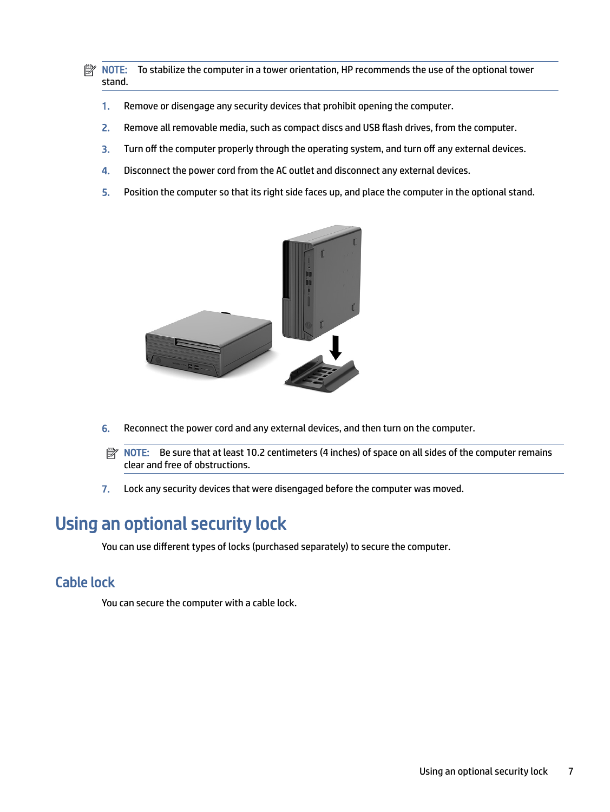<span id="page-11-0"></span>**EX NOTE:** To stabilize the computer in a tower orientation, HP recommends the use of the optional tower stand.

- 1. Remove or disengage any security devices that prohibit opening the computer.
- 2. Remove all removable media, such as compact discs and USB flash drives, from the computer.
- 3. Turn off the computer properly through the operating system, and turn off any external devices.
- 4. Disconnect the power cord from the AC outlet and disconnect any external devices.
- 5. Position the computer so that its right side faces up, and place the computer in the optional stand.

![](_page_11_Picture_6.jpeg)

- 6. Reconnect the power cord and any external devices, and then turn on the computer.
- **NOTE:** Be sure that at least 10.2 centimeters (4 inches) of space on all sides of the computer remains clear and free of obstructions.
- 7. Lock any security devices that were disengaged before the computer was moved.

# Using an optional security lock

You can use different types of locks (purchased separately) to secure the computer.

## Cable lock

You can secure the computer with a cable lock.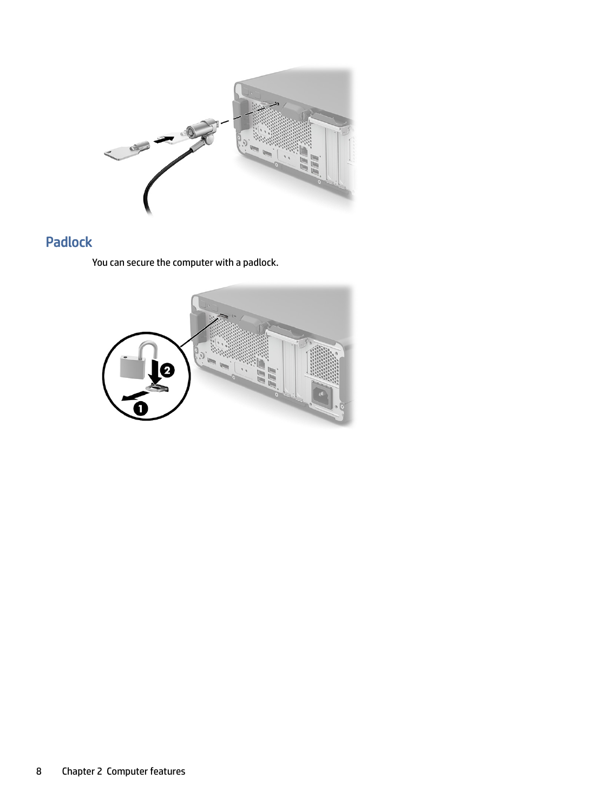<span id="page-12-0"></span>![](_page_12_Picture_0.jpeg)

# Padlock

You can secure the computer with a padlock.

![](_page_12_Picture_3.jpeg)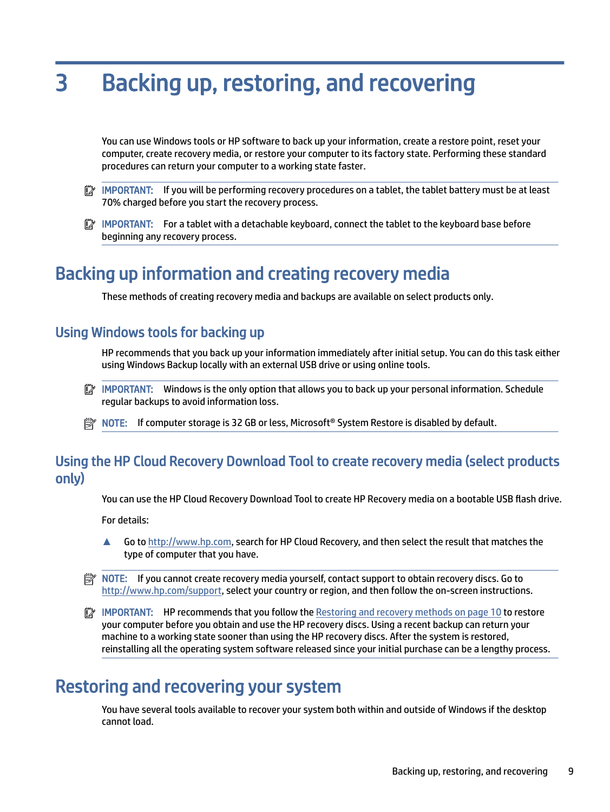# <span id="page-13-0"></span>3 Backing up, restoring, and recovering

You can use Windows tools or HP software to back up your information, create a restore point, reset your computer, create recovery media, or restore your computer to its factory state. Performing these standard procedures can return your computer to a working state faster.

- IMPORTANT: If you will be performing recovery procedures on a tablet, the tablet battery must be at least 70% charged before you start the recovery process.
- IMPORTANT: For a tablet with a detachable keyboard, connect the tablet to the keyboard base before beginning any recovery process.

# Backing up information and creating recovery media

These methods of creating recovery media and backups are available on select products only.

## Using Windows tools for backing up

HP recommends that you back up your information immediately after initial setup. You can do this task either using Windows Backup locally with an external USB drive or using online tools.

- $\mathbb{Z}$  IMPORTANT: Windows is the only option that allows you to back up your personal information. Schedule regular backups to avoid information loss.
- **EX** NOTE: If computer storage is 32 GB or less, Microsoft® System Restore is disabled by default.

## Using the HP Cloud Recovery Download Tool to create recovery media (select products only)

You can use the HP Cloud Recovery Download Tool to create HP Recovery media on a bootable USB flash drive.

For details:

- **▲** Go to [http://www.hp.com,](http://www.hp.com) search for HP Cloud Recovery, and then select the result that matches the type of computer that you have.
- $\mathbb{R}^n$  NOTE: If you cannot create recovery media yourself, contact support to obtain recovery discs. Go to [http://www.hp.com/support,](http://www.hp.com/support) select your country or region, and then follow the on-screen instructions.
- **IMPORTANT:** HP recommends that you follow the [Restoring and recovery methods](#page-14-0) on page 10 to restore your computer before you obtain and use the HP recovery discs. Using a recent backup can return your machine to a working state sooner than using the HP recovery discs. After the system is restored, reinstalling all the operating system software released since your initial purchase can be a lengthy process.

# Restoring and recovering your system

You have several tools available to recover your system both within and outside of Windows if the desktop cannot load.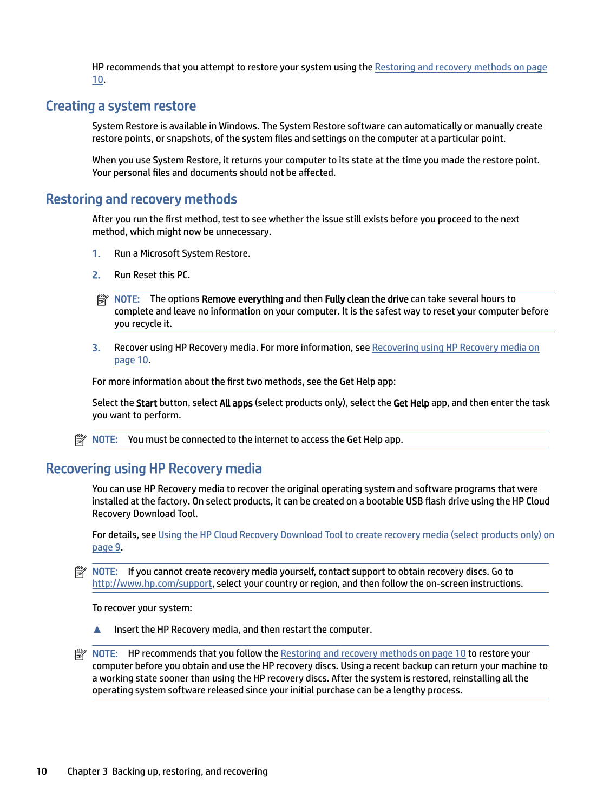HP recommends that you attempt to restore your system using the Restoring and recovery methods on page 10.

## <span id="page-14-0"></span>Creating a system restore

System Restore is available in Windows. The System Restore software can automatically or manually create restore points, or snapshots, of the system files and settings on the computer at a particular point.

When you use System Restore, it returns your computer to its state at the time you made the restore point. Your personal files and documents should not be affected.

## Restoring and recovery methods

After you run the first method, test to see whether the issue still exists before you proceed to the next method, which might now be unnecessary.

- 1. Run a Microsoft System Restore.
- 2. Run Reset this PC.
- **NOTE:** The options Remove everything and then Fully clean the drive can take several hours to complete and leave no information on your computer. It is the safest way to reset your computer before you recycle it.
- 3. Recover using HP Recovery media. For more information, see Recovering using HP Recovery media on page 10.

For more information about the first two methods, see the Get Help app:

Select the Start button, select All apps (select products only), select the Get Help app, and then enter the task you want to perform.

**NOTE:** You must be connected to the internet to access the Get Help app.

## Recovering using HP Recovery media

You can use HP Recovery media to recover the original operating system and software programs that were installed at the factory. On select products, it can be created on a bootable USB flash drive using the HP Cloud Recovery Download Tool.

[For details, see Using the HP Cloud Recovery Download Tool to create recovery media \(select products only\)](#page-13-0) on page 9.

NOTE: If you cannot create recovery media yourself, contact support to obtain recovery discs. Go to [http://www.hp.com/support,](http://www.hp.com/support) select your country or region, and then follow the on-screen instructions.

To recover your system:

**▲** Insert the HP Recovery media, and then restart the computer.

**■ NOTE:** HP recommends that you follow the Restoring and recovery methods on page 10 to restore your computer before you obtain and use the HP recovery discs. Using a recent backup can return your machine to a working state sooner than using the HP recovery discs. After the system is restored, reinstalling all the operating system software released since your initial purchase can be a lengthy process.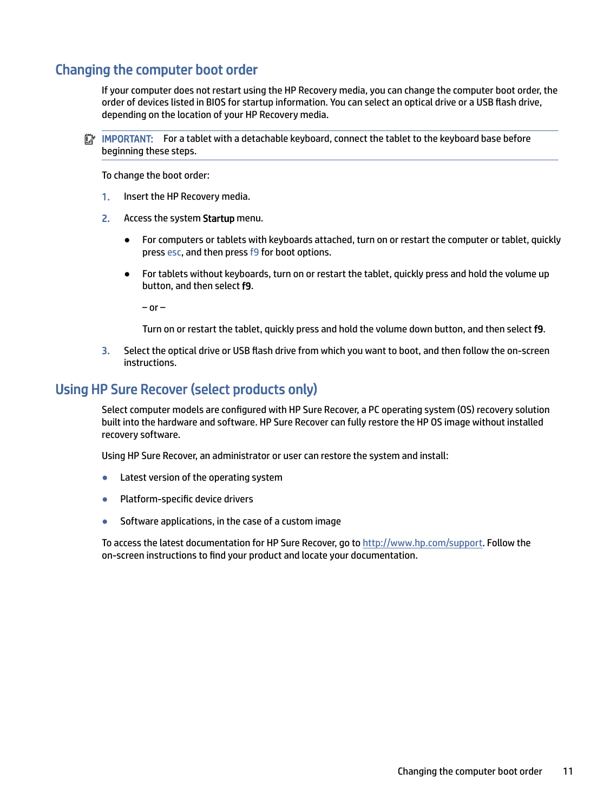## <span id="page-15-0"></span>Changing the computer boot order

If your computer does not restart using the HP Recovery media, you can change the computer boot order, the order of devices listed in BIOS for startup information. You can select an optical drive or a USB flash drive, depending on the location of your HP Recovery media.

IMPORTANT: For a tablet with a detachable keyboard, connect the tablet to the keyboard base before beginning these steps.

To change the boot order:

- 1. Insert the HP Recovery media.
- 2. Access the system Startup menu.
	- For computers or tablets with keyboards attached, turn on or restart the computer or tablet, quickly press esc, and then press f9 for boot options.
	- For tablets without keyboards, turn on or restart the tablet, quickly press and hold the volume up button, and then select f9.

 $-$  or  $-$ 

Turn on or restart the tablet, quickly press and hold the volume down button, and then select f9.

3. Select the optical drive or USB flash drive from which you want to boot, and then follow the on-screen instructions.

## Using HP Sure Recover (select products only)

Select computer models are configured with HP Sure Recover, a PC operating system (OS) recovery solution built into the hardware and software. HP Sure Recover can fully restore the HP OS image without installed recovery software.

Using HP Sure Recover, an administrator or user can restore the system and install:

- Latest version of the operating system
- Platform-specific device drivers
- Software applications, in the case of a custom image

To access the latest documentation for HP Sure Recover, go to [http://www.hp.com/support.](http://www.hp.com/support) Follow the on-screen instructions to find your product and locate your documentation.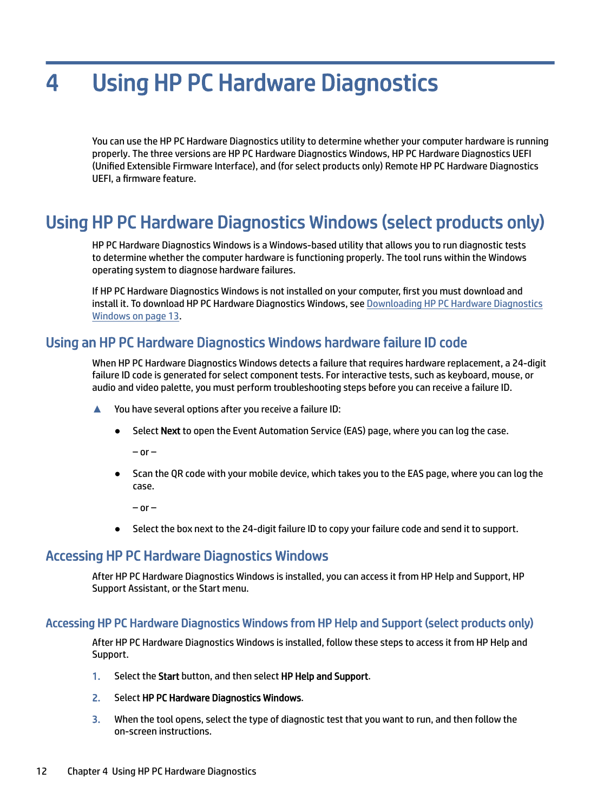# <span id="page-16-0"></span>4 Using HP PC Hardware Diagnostics

You can use the HP PC Hardware Diagnostics utility to determine whether your computer hardware is running properly. The three versions are HP PC Hardware Diagnostics Windows, HP PC Hardware Diagnostics UEFI (Unified Extensible Firmware Interface), and (for select products only) Remote HP PC Hardware Diagnostics UEFI, a firmware feature.

# Using HP PC Hardware Diagnostics Windows (select products only)

HP PC Hardware Diagnostics Windows is a Windows-based utility that allows you to run diagnostic tests to determine whether the computer hardware is functioning properly. The tool runs within the Windows operating system to diagnose hardware failures.

If HP PC Hardware Diagnostics Windows is not installed on your computer, first you must download and [install it. To download HP PC Hardware Diagnostics Windows, see Downloading HP PC Hardware Diagnostics](#page-17-0)  Windows on page 13.

## Using an HP PC Hardware Diagnostics Windows hardware failure ID code

When HP PC Hardware Diagnostics Windows detects a failure that requires hardware replacement, a 24-digit failure ID code is generated for select component tests. For interactive tests, such as keyboard, mouse, or audio and video palette, you must perform troubleshooting steps before you can receive a failure ID.

- **▲** You have several options after you receive a failure ID:
	- Select Next to open the Event Automation Service (EAS) page, where you can log the case.

 $-$  or  $-$ 

Scan the QR code with your mobile device, which takes you to the EAS page, where you can log the case.

 $-$  or  $-$ 

● Select the box next to the 24-digit failure ID to copy your failure code and send it to support.

## Accessing HP PC Hardware Diagnostics Windows

After HP PC Hardware Diagnostics Windows is installed, you can access it from HP Help and Support, HP Support Assistant, or the Start menu.

### Accessing HP PC Hardware Diagnostics Windows from HP Help and Support (select products only)

After HP PC Hardware Diagnostics Windows is installed, follow these steps to access it from HP Help and Support.

- 1. Select the Start button, and then select HP Help and Support.
- 2. Select HP PC Hardware Diagnostics Windows.
- 3. When the tool opens, select the type of diagnostic test that you want to run, and then follow the on-screen instructions.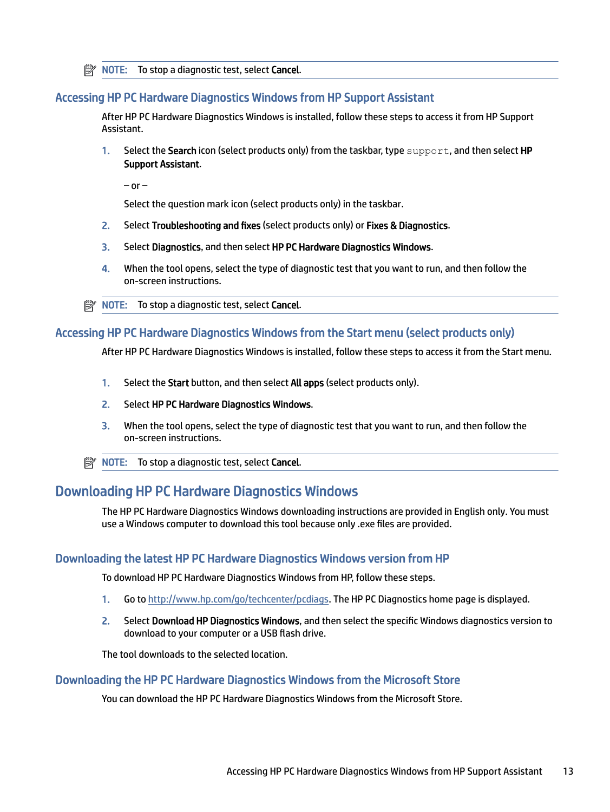<span id="page-17-0"></span>**NOTE:** To stop a diagnostic test, select **Cancel**.

#### Accessing HP PC Hardware Diagnostics Windows from HP Support Assistant

After HP PC Hardware Diagnostics Windows is installed, follow these steps to access it from HP Support Assistant.

1. Select the Search icon (select products only) from the taskbar, type support, and then select HP Support Assistant.

 $-$  or  $-$ 

Select the question mark icon (select products only) in the taskbar.

- 2. Select Troubleshooting and fixes (select products only) or Fixes & Diagnostics.
- 3. Select Diagnostics, and then select HP PC Hardware Diagnostics Windows.
- 4. When the tool opens, select the type of diagnostic test that you want to run, and then follow the on-screen instructions.
- **NOTE:** To stop a diagnostic test, select Cancel.

#### Accessing HP PC Hardware Diagnostics Windows from the Start menu (select products only)

After HP PC Hardware Diagnostics Windows is installed, follow these steps to access it from the Start menu.

- 1. Select the Start button, and then select All apps (select products only).
- 2. Select HP PC Hardware Diagnostics Windows.
- 3. When the tool opens, select the type of diagnostic test that you want to run, and then follow the on-screen instructions.
- **NOTE:** To stop a diagnostic test, select **Cancel**.

## Downloading HP PC Hardware Diagnostics Windows

The HP PC Hardware Diagnostics Windows downloading instructions are provided in English only. You must use a Windows computer to download this tool because only .exe files are provided.

#### Downloading the latest HP PC Hardware Diagnostics Windows version from HP

To download HP PC Hardware Diagnostics Windows from HP, follow these steps.

- 1. Go to [http://www.hp.com/go/techcenter/pcdiags.](http://www.hp.com/go/techcenter/pcdiags) The HP PC Diagnostics home page is displayed.
- 2. Select Download HP Diagnostics Windows, and then select the specific Windows diagnostics version to download to your computer or a USB flash drive.

The tool downloads to the selected location.

#### Downloading the HP PC Hardware Diagnostics Windows from the Microsoft Store

You can download the HP PC Hardware Diagnostics Windows from the Microsoft Store.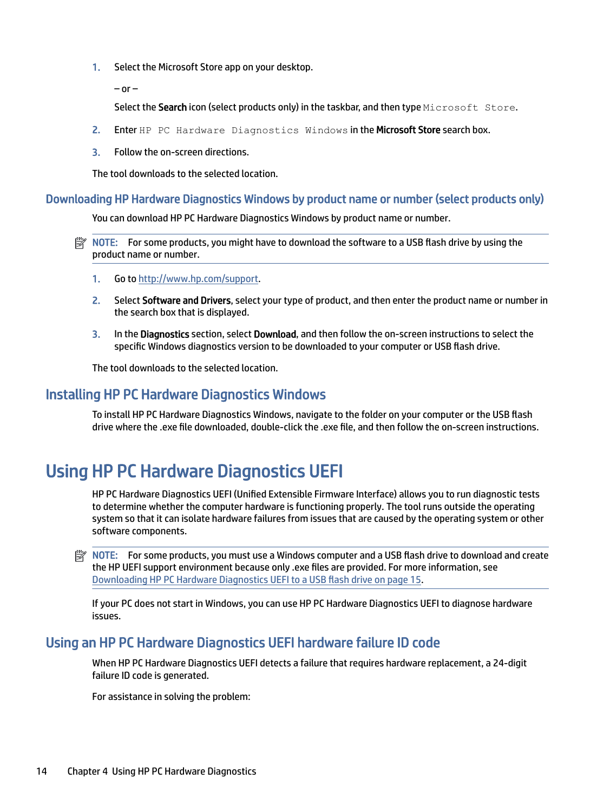<span id="page-18-0"></span>1. Select the Microsoft Store app on your desktop.

 $-$  or  $-$ 

Select the Search icon (select products only) in the taskbar, and then type Microsoft Store.

- 2. Enter HP PC Hardware Diagnostics Windows in the Microsoft Store search box.
- 3. Follow the on-screen directions.

The tool downloads to the selected location.

#### Downloading HP Hardware Diagnostics Windows by product name or number (select products only)

You can download HP PC Hardware Diagnostics Windows by product name or number.

- $\mathbb{P}$  NOTE: For some products, you might have to download the software to a USB flash drive by using the product name or number.
	- 1. Go to [http://www.hp.com/support.](http://www.hp.com/support)
	- 2. Select Software and Drivers, select your type of product, and then enter the product name or number in the search box that is displayed.
	- 3. In the Diagnostics section, select Download, and then follow the on-screen instructions to select the specific Windows diagnostics version to be downloaded to your computer or USB flash drive.

The tool downloads to the selected location.

## Installing HP PC Hardware Diagnostics Windows

To install HP PC Hardware Diagnostics Windows, navigate to the folder on your computer or the USB flash drive where the .exe file downloaded, double-click the .exe file, and then follow the on-screen instructions.

# Using HP PC Hardware Diagnostics UEFI

HP PC Hardware Diagnostics UEFI (Unified Extensible Firmware Interface) allows you to run diagnostic tests to determine whether the computer hardware is functioning properly. The tool runs outside the operating system so that it can isolate hardware failures from issues that are caused by the operating system or other software components.

NOTE: For some products, you must use a Windows computer and a USB flash drive to download and create the HP UEFI support environment because only .exe files are provided. For more information, see [Downloading HP PC Hardware Diagnostics UEFI to a USB flash drive](#page-19-0) on page 15.

If your PC does not start in Windows, you can use HP PC Hardware Diagnostics UEFI to diagnose hardware issues.

## Using an HP PC Hardware Diagnostics UEFI hardware failure ID code

When HP PC Hardware Diagnostics UEFI detects a failure that requires hardware replacement, a 24-digit failure ID code is generated.

For assistance in solving the problem: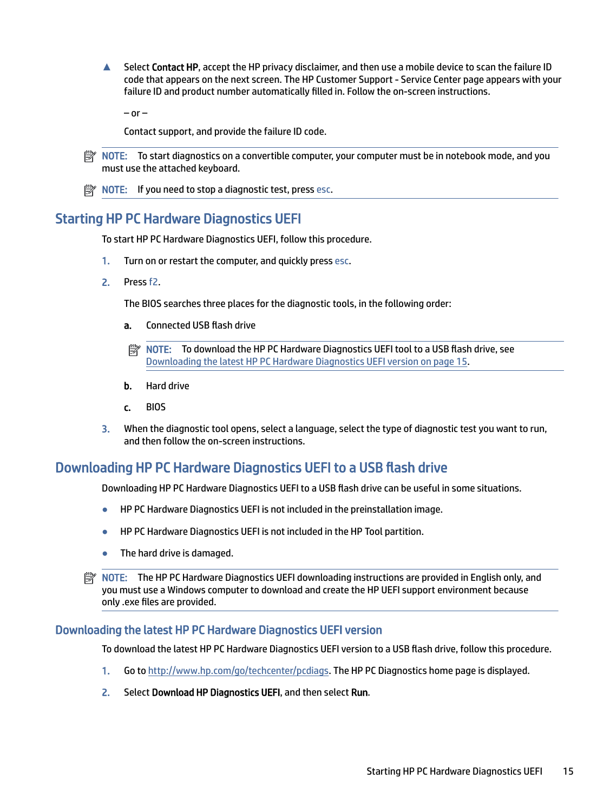<span id="page-19-0"></span>**▲** Select Contact HP, accept the HP privacy disclaimer, and then use a mobile device to scan the failure ID code that appears on the next screen. The HP Customer Support - Service Center page appears with your failure ID and product number automatically filled in. Follow the on-screen instructions.

 $-$  or  $-$ 

Contact support, and provide the failure ID code.

**EX NOTE:** To start diagnostics on a convertible computer, your computer must be in notebook mode, and you must use the attached keyboard.

 $\mathbb{R}$  NOTE: If you need to stop a diagnostic test, press esc.

## Starting HP PC Hardware Diagnostics UEFI

To start HP PC Hardware Diagnostics UEFI, follow this procedure.

- 1. Turn on or restart the computer, and quickly press esc.
- 2. Press f2.

The BIOS searches three places for the diagnostic tools, in the following order:

- a. Connected USB flash drive
- **EV NOTE:** To download the HP PC Hardware Diagnostics UEFI tool to a USB flash drive, see Downloading the latest HP PC Hardware Diagnostics UEFI version on page 15.
- b. Hard drive
- c. BIOS
- 3. When the diagnostic tool opens, select a language, select the type of diagnostic test you want to run, and then follow the on-screen instructions.

## Downloading HP PC Hardware Diagnostics UEFI to a USB flash drive

Downloading HP PC Hardware Diagnostics UEFI to a USB flash drive can be useful in some situations.

- HP PC Hardware Diagnostics UEFI is not included in the preinstallation image.
- HP PC Hardware Diagnostics UEFI is not included in the HP Tool partition.
- The hard drive is damaged.
- NOTE: The HP PC Hardware Diagnostics UEFI downloading instructions are provided in English only, and you must use a Windows computer to download and create the HP UEFI support environment because only .exe files are provided.

#### Downloading the latest HP PC Hardware Diagnostics UEFI version

To download the latest HP PC Hardware Diagnostics UEFI version to a USB flash drive, follow this procedure.

- 1. Go to [http://www.hp.com/go/techcenter/pcdiags.](http://www.hp.com/go/techcenter/pcdiags) The HP PC Diagnostics home page is displayed.
- 2. Select Download HP Diagnostics UEFI, and then select Run.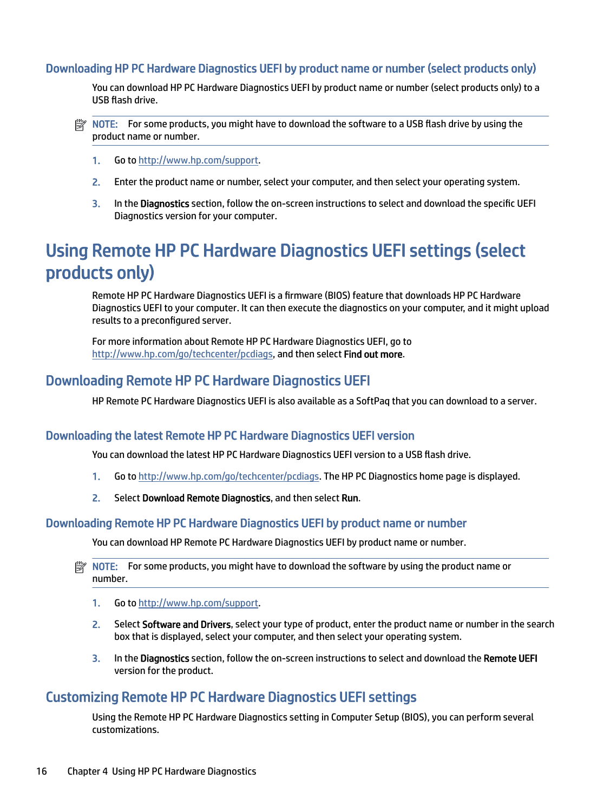### <span id="page-20-0"></span>Downloading HP PC Hardware Diagnostics UEFI by product name or number (select products only)

You can download HP PC Hardware Diagnostics UEFI by product name or number (select products only) to a USB flash drive.

- $\mathbb{R}^n$  **NOTE:** For some products, you might have to download the software to a USB flash drive by using the product name or number.
	- 1. Go to [http://www.hp.com/support.](http://www.hp.com/support)
	- 2. Enter the product name or number, select your computer, and then select your operating system.
	- 3. In the Diagnostics section, follow the on-screen instructions to select and download the specific UEFI Diagnostics version for your computer.

# Using Remote HP PC Hardware Diagnostics UEFI settings (select products only)

Remote HP PC Hardware Diagnostics UEFI is a firmware (BIOS) feature that downloads HP PC Hardware Diagnostics UEFI to your computer. It can then execute the diagnostics on your computer, and it might upload results to a preconfigured server.

For more information about Remote HP PC Hardware Diagnostics UEFI, go to [http://www.hp.com/go/techcenter/pcdiags,](http://www.hp.com/go/techcenter/pcdiags) and then select Find out more.

## Downloading Remote HP PC Hardware Diagnostics UEFI

HP Remote PC Hardware Diagnostics UEFI is also available as a SoftPaq that you can download to a server.

### Downloading the latest Remote HP PC Hardware Diagnostics UEFI version

You can download the latest HP PC Hardware Diagnostics UEFI version to a USB flash drive.

- 1. Go to [http://www.hp.com/go/techcenter/pcdiags.](http://www.hp.com/go/techcenter/pcdiags) The HP PC Diagnostics home page is displayed.
- 2. Select Download Remote Diagnostics, and then select Run.

#### Downloading Remote HP PC Hardware Diagnostics UEFI by product name or number

You can download HP Remote PC Hardware Diagnostics UEFI by product name or number.

- NOTE: For some products, you might have to download the software by using the product name or number.
	- 1. Go to [http://www.hp.com/support.](http://www.hp.com/support)
	- 2. Select Software and Drivers, select your type of product, enter the product name or number in the search box that is displayed, select your computer, and then select your operating system.
	- 3. In the Diagnostics section, follow the on-screen instructions to select and download the Remote UEFI version for the product.

## Customizing Remote HP PC Hardware Diagnostics UEFI settings

Using the Remote HP PC Hardware Diagnostics setting in Computer Setup (BIOS), you can perform several customizations.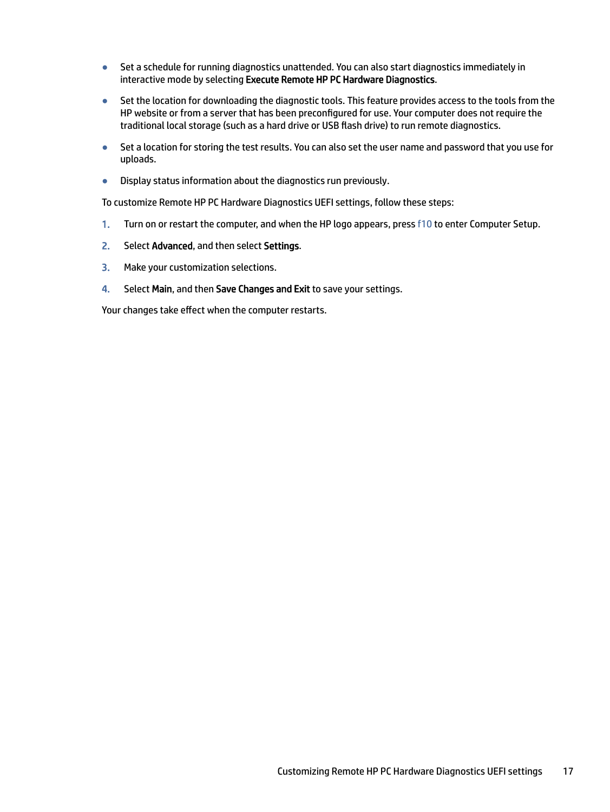- Set a schedule for running diagnostics unattended. You can also start diagnostics immediately in interactive mode by selecting Execute Remote HP PC Hardware Diagnostics.
- Set the location for downloading the diagnostic tools. This feature provides access to the tools from the HP website or from a server that has been preconfigured for use. Your computer does not require the traditional local storage (such as a hard drive or USB flash drive) to run remote diagnostics.
- Set a location for storing the test results. You can also set the user name and password that you use for uploads.
- Display status information about the diagnostics run previously.

To customize Remote HP PC Hardware Diagnostics UEFI settings, follow these steps:

- 1. Turn on or restart the computer, and when the HP logo appears, press f10 to enter Computer Setup.
- 2. Select Advanced, and then select Settings.
- 3. Make your customization selections.
- 4. Select Main, and then Save Changes and Exit to save your settings.

Your changes take effect when the computer restarts.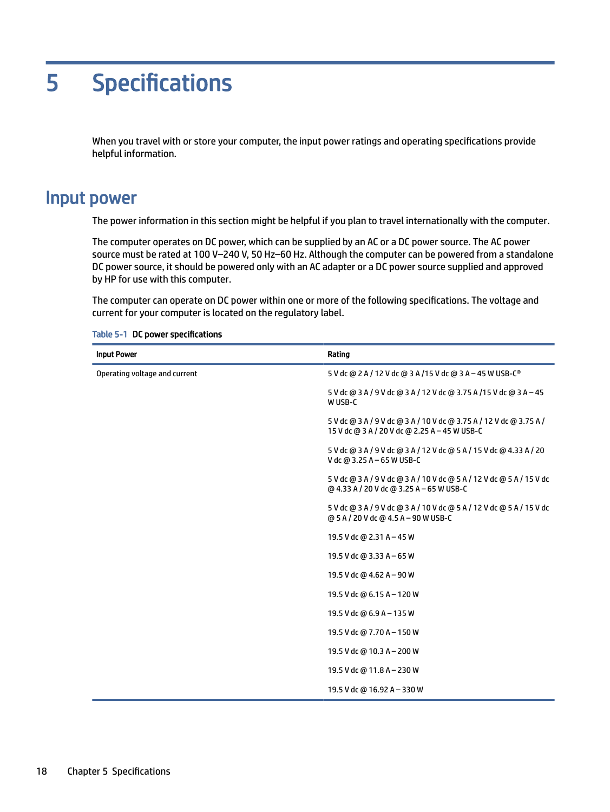# <span id="page-22-0"></span>5 Specifications

When you travel with or store your computer, the input power ratings and operating specifications provide helpful information.

# Input power

The power information in this section might be helpful if you plan to travel internationally with the computer.

The computer operates on DC power, which can be supplied by an AC or a DC power source. The AC power source must be rated at 100 V–240 V, 50 Hz–60 Hz. Although the computer can be powered from a standalone DC power source, it should be powered only with an AC adapter or a DC power source supplied and approved by HP for use with this computer.

The computer can operate on DC power within one or more of the following specifications. The voltage and current for your computer is located on the regulatory label.

| <b>Input Power</b>            | Rating                                                                                                               |  |
|-------------------------------|----------------------------------------------------------------------------------------------------------------------|--|
| Operating voltage and current | 5 V dc @ 2 A / 12 V dc @ 3 A / 15 V dc @ 3 A - 45 W USB-C <sup>®</sup>                                               |  |
|                               | 5 V dc @ 3 A / 9 V dc @ 3 A / 12 V dc @ 3.75 A / 15 V dc @ 3 A - 45<br>W USB-C                                       |  |
|                               | 5 V dc @ 3 A / 9 V dc @ 3 A / 10 V dc @ 3.75 A / 12 V dc @ 3.75 A /<br>15 V dc @ 3 A / 20 V dc @ 2.25 A - 45 W USB-C |  |
|                               | 5 V dc @ 3 A / 9 V dc @ 3 A / 12 V dc @ 5 A / 15 V dc @ 4.33 A / 20<br>V dc @ 3.25 A - 65 W USB-C                    |  |
|                               | 5 V dc @ 3 A / 9 V dc @ 3 A / 10 V dc @ 5 A / 12 V dc @ 5 A / 15 V dc<br>@ 4.33 A / 20 V dc @ 3.25 A - 65 W USB-C    |  |
|                               | 5 V dc @ 3 A / 9 V dc @ 3 A / 10 V dc @ 5 A / 12 V dc @ 5 A / 15 V dc<br>@ 5 A / 20 V dc @ 4.5 A - 90 W USB-C        |  |
|                               | 19.5 V dc @ 2.31 A - 45 W                                                                                            |  |
|                               | 19.5 V dc @ 3.33 A - 65 W                                                                                            |  |
|                               | 19.5 V dc @ 4.62 A - 90 W                                                                                            |  |
|                               | 19.5 V dc @ 6.15 A - 120 W                                                                                           |  |
|                               | 19.5 V dc @ 6.9 A - 135 W                                                                                            |  |
|                               | 19.5 V dc @ 7.70 A - 150 W                                                                                           |  |
|                               | 19.5 V dc @ 10.3 A - 200 W                                                                                           |  |
|                               | 19.5 V dc @ 11.8 A - 230 W                                                                                           |  |
|                               | 19.5 V dc @ 16.92 A - 330 W                                                                                          |  |

#### Table 5-1 DC power specifications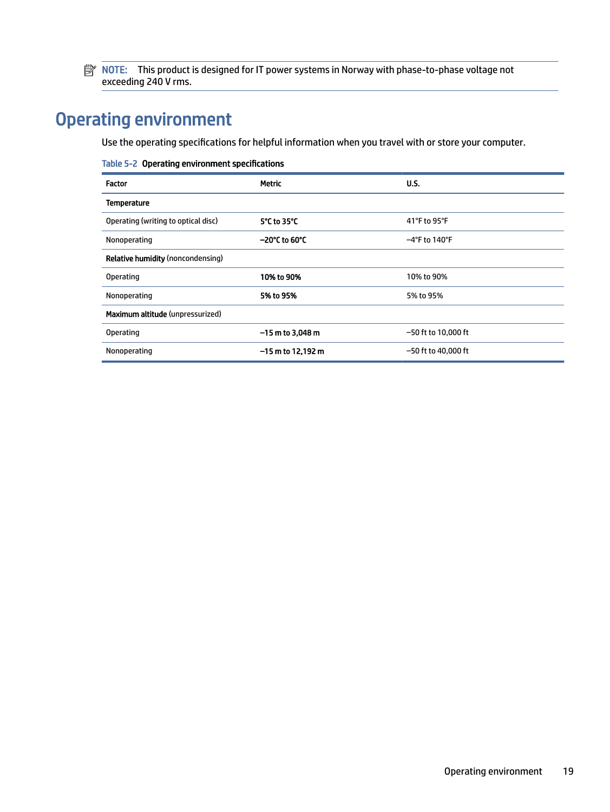<span id="page-23-0"></span>**NOTE:** This product is designed for IT power systems in Norway with phase-to-phase voltage not exceeding 240 V rms.

# Operating environment

Use the operating specifications for helpful information when you travel with or store your computer.

| Table 5-2 Operating environment specifications |                         |                       |  |
|------------------------------------------------|-------------------------|-----------------------|--|
| Factor                                         | <b>Metric</b>           | U.S.                  |  |
| <b>Temperature</b>                             |                         |                       |  |
| Operating (writing to optical disc)            | 5°C to 35°C             | 41°F to 95°F          |  |
| Nonoperating                                   | $-20^{\circ}$ C to 60°C | $-4$ °F to 140°F      |  |
| <b>Relative humidity (noncondensing)</b>       |                         |                       |  |
| <b>Operating</b>                               | 10% to 90%              | 10% to 90%            |  |
| Nonoperating                                   | 5% to 95%               | 5% to 95%             |  |
| Maximum altitude (unpressurized)               |                         |                       |  |
| <b>Operating</b>                               | $-15$ m to 3,048 m      | $-50$ ft to 10,000 ft |  |
| Nonoperating                                   | $-15$ m to 12,192 m     | $-50$ ft to 40,000 ft |  |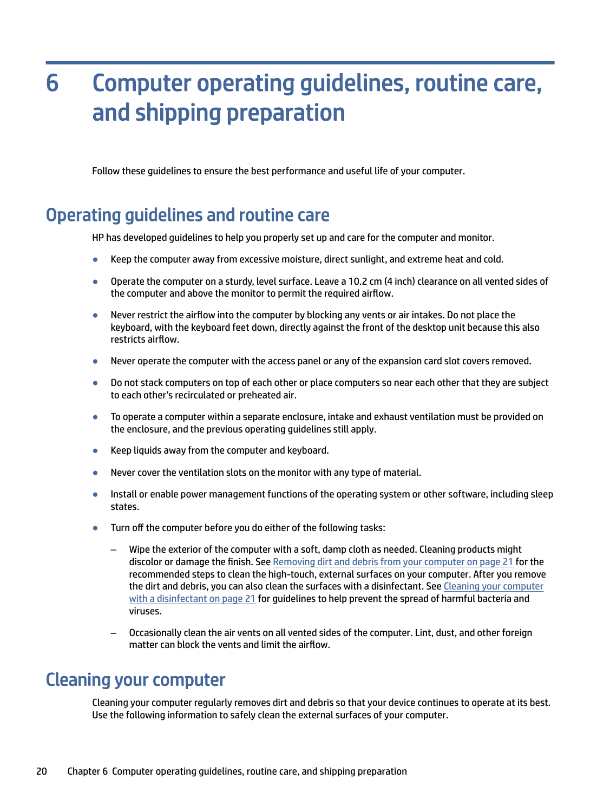# <span id="page-24-0"></span>Computer operating guidelines, routine care, and shipping preparation 6

Follow these guidelines to ensure the best performance and useful life of your computer.

# Operating guidelines and routine care

HP has developed guidelines to help you properly set up and care for the computer and monitor.

- Keep the computer away from excessive moisture, direct sunlight, and extreme heat and cold.
- Operate the computer on a sturdy, level surface. Leave a 10.2 cm (4 inch) clearance on all vented sides of the computer and above the monitor to permit the required airflow.
- Never restrict the airflow into the computer by blocking any vents or air intakes. Do not place the keyboard, with the keyboard feet down, directly against the front of the desktop unit because this also restricts airflow.
- Never operate the computer with the access panel or any of the expansion card slot covers removed.
- Do not stack computers on top of each other or place computers so near each other that they are subject to each other's recirculated or preheated air.
- To operate a computer within a separate enclosure, intake and exhaust ventilation must be provided on the enclosure, and the previous operating guidelines still apply.
- Keep liquids away from the computer and keyboard.
- Never cover the ventilation slots on the monitor with any type of material.
- Install or enable power management functions of the operating system or other software, including sleep states.
- Turn off the computer before you do either of the following tasks:
	- Wipe the exterior of the computer with a soft, damp cloth as needed. Cleaning products might discolor or damage the finish. See [Removing dirt and debris from your computer](#page-25-0) on page 21 for the recommended steps to clean the high-touch, external surfaces on your computer. After you remove [the dirt and debris, you can also clean the surfaces with a disinfectant. See Cleaning your computer](#page-25-0)  with a disinfectant on page 21 for guidelines to help prevent the spread of harmful bacteria and viruses.
	- Occasionally clean the air vents on all vented sides of the computer. Lint, dust, and other foreign matter can block the vents and limit the airflow.

# Cleaning your computer

Cleaning your computer regularly removes dirt and debris so that your device continues to operate at its best. Use the following information to safely clean the external surfaces of your computer.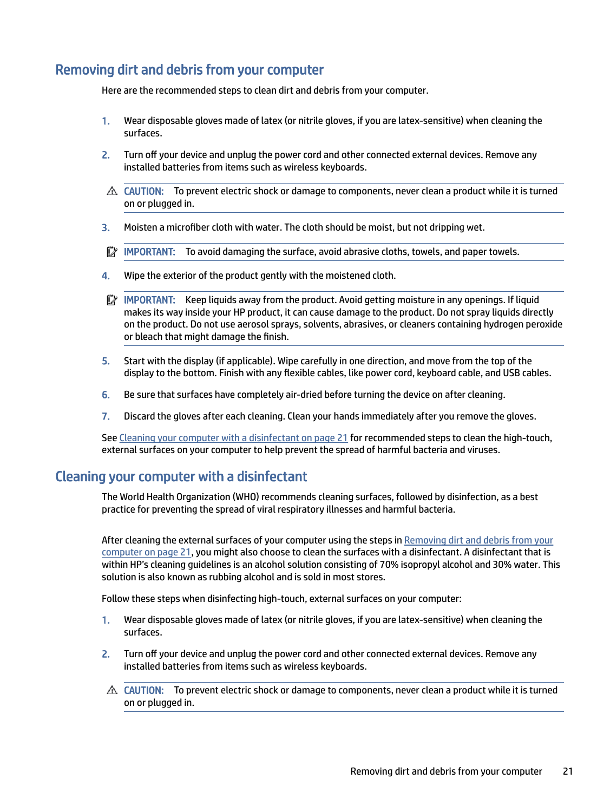## <span id="page-25-0"></span>Removing dirt and debris from your computer

Here are the recommended steps to clean dirt and debris from your computer.

- 1. Wear disposable gloves made of latex (or nitrile gloves, if you are latex-sensitive) when cleaning the surfaces.
- 2. Turn off your device and unplug the power cord and other connected external devices. Remove any installed batteries from items such as wireless keyboards.
- $\triangle$  CAUTION: To prevent electric shock or damage to components, never clean a product while it is turned on or plugged in.
- 3. Moisten a microfiber cloth with water. The cloth should be moist, but not dripping wet.
- $\mathbb{P}$  IMPORTANT: To avoid damaging the surface, avoid abrasive cloths, towels, and paper towels.
- 4. Wipe the exterior of the product gently with the moistened cloth.
- $\mathbb{Z}^*$  IMPORTANT: Keep liquids away from the product. Avoid getting moisture in any openings. If liquid makes its way inside your HP product, it can cause damage to the product. Do not spray liquids directly on the product. Do not use aerosol sprays, solvents, abrasives, or cleaners containing hydrogen peroxide or bleach that might damage the finish.
- 5. Start with the display (if applicable). Wipe carefully in one direction, and move from the top of the display to the bottom. Finish with any flexible cables, like power cord, keyboard cable, and USB cables.
- 6. Be sure that surfaces have completely air-dried before turning the device on after cleaning.
- 7. Discard the gloves after each cleaning. Clean your hands immediately after you remove the gloves.

See Cleaning your computer with a disinfectant on page 21 for recommended steps to clean the high-touch, external surfaces on your computer to help prevent the spread of harmful bacteria and viruses.

## Cleaning your computer with a disinfectant

The World Health Organization (WHO) recommends cleaning surfaces, followed by disinfection, as a best practice for preventing the spread of viral respiratory illnesses and harmful bacteria.

After cleaning the external surfaces of your computer using the steps in Removing dirt and debris from your computer on page 21, you might also choose to clean the surfaces with a disinfectant. A disinfectant that is within HP's cleaning guidelines is an alcohol solution consisting of 70% isopropyl alcohol and 30% water. This solution is also known as rubbing alcohol and is sold in most stores.

Follow these steps when disinfecting high-touch, external surfaces on your computer:

- 1. Wear disposable gloves made of latex (or nitrile gloves, if you are latex-sensitive) when cleaning the surfaces.
- 2. Turn off your device and unplug the power cord and other connected external devices. Remove any installed batteries from items such as wireless keyboards.
- $\triangle$  CAUTION: To prevent electric shock or damage to components, never clean a product while it is turned on or plugged in.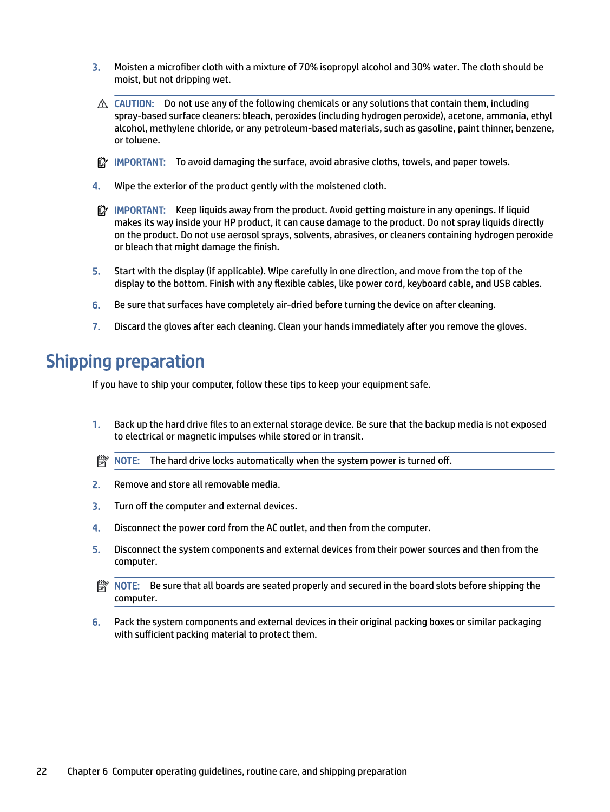- <span id="page-26-0"></span>3. Moisten a microfiber cloth with a mixture of 70% isopropyl alcohol and 30% water. The cloth should be moist, but not dripping wet.
- $\triangle$  CAUTION: Do not use any of the following chemicals or any solutions that contain them, including spray-based surface cleaners: bleach, peroxides (including hydrogen peroxide), acetone, ammonia, ethyl alcohol, methylene chloride, or any petroleum-based materials, such as gasoline, paint thinner, benzene, or toluene.
- IMPORTANT: To avoid damaging the surface, avoid abrasive cloths, towels, and paper towels.
- 4. Wipe the exterior of the product gently with the moistened cloth.
- $\mathbb{Z}$  IMPORTANT: Keep liquids away from the product. Avoid getting moisture in any openings. If liquid makes its way inside your HP product, it can cause damage to the product. Do not spray liquids directly on the product. Do not use aerosol sprays, solvents, abrasives, or cleaners containing hydrogen peroxide or bleach that might damage the finish.
- 5. Start with the display (if applicable). Wipe carefully in one direction, and move from the top of the display to the bottom. Finish with any flexible cables, like power cord, keyboard cable, and USB cables.
- 6. Be sure that surfaces have completely air-dried before turning the device on after cleaning.
- 7. Discard the gloves after each cleaning. Clean your hands immediately after you remove the gloves.

# Shipping preparation

If you have to ship your computer, follow these tips to keep your equipment safe.

- 1. Back up the hard drive files to an external storage device. Be sure that the backup media is not exposed to electrical or magnetic impulses while stored or in transit.
- $\mathbb{R}^n$  NOTE: The hard drive locks automatically when the system power is turned off.
- 2. Remove and store all removable media.
- 3. Turn off the computer and external devices.
- 4. Disconnect the power cord from the AC outlet, and then from the computer.
- 5. Disconnect the system components and external devices from their power sources and then from the computer.
- NOTE: Be sure that all boards are seated properly and secured in the board slots before shipping the computer.
- 6. Pack the system components and external devices in their original packing boxes or similar packaging with sufficient packing material to protect them.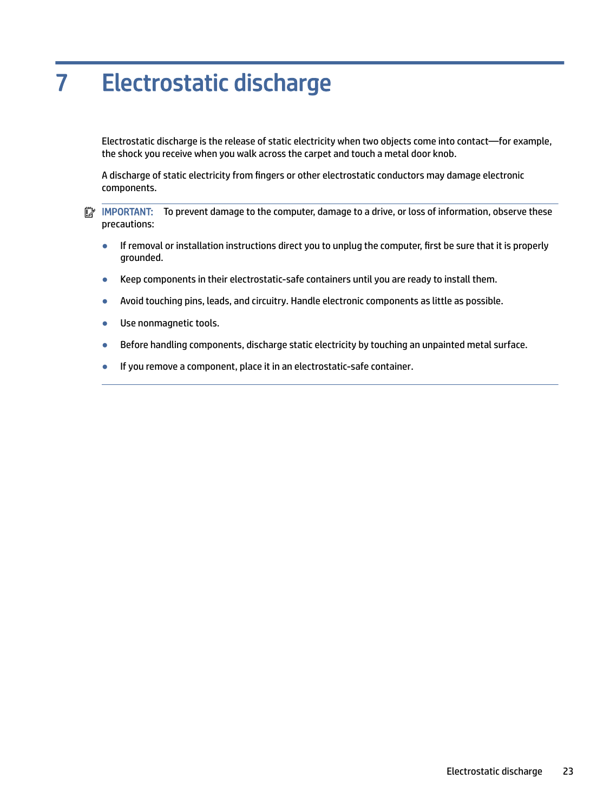# <span id="page-27-0"></span>7 Electrostatic discharge

Electrostatic discharge is the release of static electricity when two objects come into contact—for example, the shock you receive when you walk across the carpet and touch a metal door knob.

A discharge of static electricity from fingers or other electrostatic conductors may damage electronic components.

**IMPORTANT:** To prevent damage to the computer, damage to a drive, or loss of information, observe these precautions:

- If removal or installation instructions direct you to unplug the computer, first be sure that it is properly grounded.
- Keep components in their electrostatic-safe containers until you are ready to install them.
- Avoid touching pins, leads, and circuitry. Handle electronic components as little as possible.
- Use nonmagnetic tools.
- Before handling components, discharge static electricity by touching an unpainted metal surface.
- If you remove a component, place it in an electrostatic-safe container.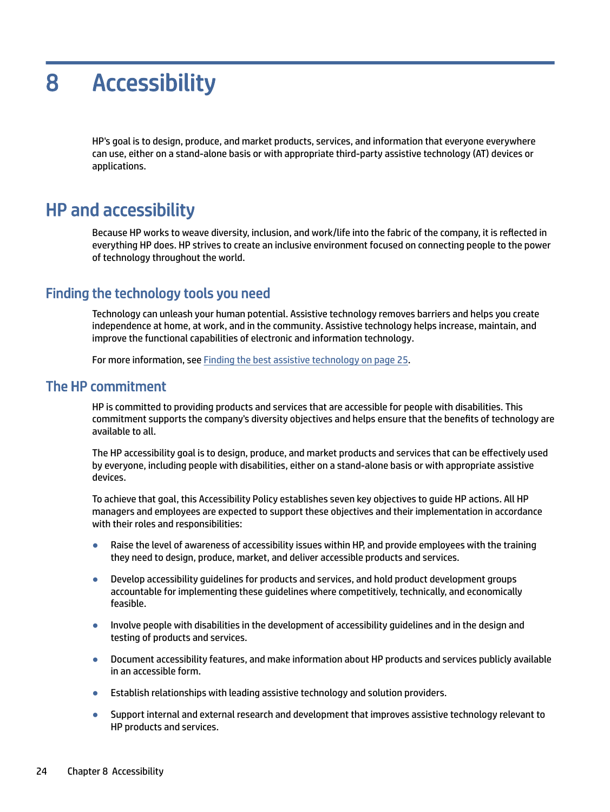# <span id="page-28-0"></span>8 Accessibility

HP's goal is to design, produce, and market products, services, and information that everyone everywhere can use, either on a stand-alone basis or with appropriate third-party assistive technology (AT) devices or applications.

# HP and accessibility

Because HP works to weave diversity, inclusion, and work/life into the fabric of the company, it is reflected in everything HP does. HP strives to create an inclusive environment focused on connecting people to the power of technology throughout the world.

## Finding the technology tools you need

Technology can unleash your human potential. Assistive technology removes barriers and helps you create independence at home, at work, and in the community. Assistive technology helps increase, maintain, and improve the functional capabilities of electronic and information technology.

For more information, see [Finding the best assistive technology](#page-29-0) on page 25.

## The HP commitment

HP is committed to providing products and services that are accessible for people with disabilities. This commitment supports the company's diversity objectives and helps ensure that the benefits of technology are available to all.

The HP accessibility goal is to design, produce, and market products and services that can be effectively used by everyone, including people with disabilities, either on a stand-alone basis or with appropriate assistive devices.

To achieve that goal, this Accessibility Policy establishes seven key objectives to guide HP actions. All HP managers and employees are expected to support these objectives and their implementation in accordance with their roles and responsibilities:

- Raise the level of awareness of accessibility issues within HP, and provide employees with the training they need to design, produce, market, and deliver accessible products and services.
- Develop accessibility guidelines for products and services, and hold product development groups accountable for implementing these guidelines where competitively, technically, and economically feasible.
- Involve people with disabilities in the development of accessibility guidelines and in the design and testing of products and services.
- Document accessibility features, and make information about HP products and services publicly available in an accessible form.
- Establish relationships with leading assistive technology and solution providers.
- Support internal and external research and development that improves assistive technology relevant to HP products and services.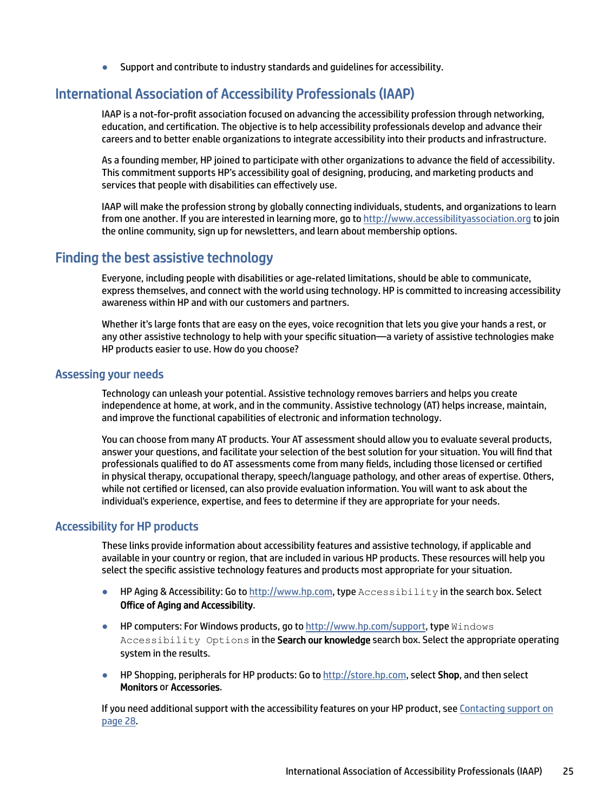Support and contribute to industry standards and quidelines for accessibility.

## <span id="page-29-0"></span>International Association of Accessibility Professionals (IAAP)

IAAP is a not-for-profit association focused on advancing the accessibility profession through networking, education, and certification. The objective is to help accessibility professionals develop and advance their careers and to better enable organizations to integrate accessibility into their products and infrastructure.

As a founding member, HP joined to participate with other organizations to advance the field of accessibility. This commitment supports HP's accessibility goal of designing, producing, and marketing products and services that people with disabilities can effectively use.

IAAP will make the profession strong by globally connecting individuals, students, and organizations to learn from one another. If you are interested in learning more, go to<http://www.accessibilityassociation.org>to join the online community, sign up for newsletters, and learn about membership options.

## Finding the best assistive technology

Everyone, including people with disabilities or age-related limitations, should be able to communicate, express themselves, and connect with the world using technology. HP is committed to increasing accessibility awareness within HP and with our customers and partners.

Whether it's large fonts that are easy on the eyes, voice recognition that lets you give your hands a rest, or any other assistive technology to help with your specific situation—a variety of assistive technologies make HP products easier to use. How do you choose?

#### Assessing your needs

Technology can unleash your potential. Assistive technology removes barriers and helps you create independence at home, at work, and in the community. Assistive technology (AT) helps increase, maintain, and improve the functional capabilities of electronic and information technology.

You can choose from many AT products. Your AT assessment should allow you to evaluate several products, answer your questions, and facilitate your selection of the best solution for your situation. You will find that professionals qualified to do AT assessments come from many fields, including those licensed or certified in physical therapy, occupational therapy, speech/language pathology, and other areas of expertise. Others, while not certified or licensed, can also provide evaluation information. You will want to ask about the individual's experience, expertise, and fees to determine if they are appropriate for your needs.

#### Accessibility for HP products

These links provide information about accessibility features and assistive technology, if applicable and available in your country or region, that are included in various HP products. These resources will help you select the specific assistive technology features and products most appropriate for your situation.

- HP Aging & Accessibility: Go to [http://www.hp.com,](http://www.hp.com) type Accessibility in the search box. Select Office of Aging and Accessibility.
- HP computers: For Windows products, go to [http://www.hp.com/support,](http://www.hp.com/support) type Windows Accessibility Options in the Search our knowledge search box. Select the appropriate operating system in the results.
- HP Shopping, peripherals for HP products: Go to [http://store.hp.com,](http://store.hp.com) select Shop, and then select Monitors or Accessories.

[If you need additional support with the accessibility features on your HP product, see Contacting support](#page-32-0) on page 28.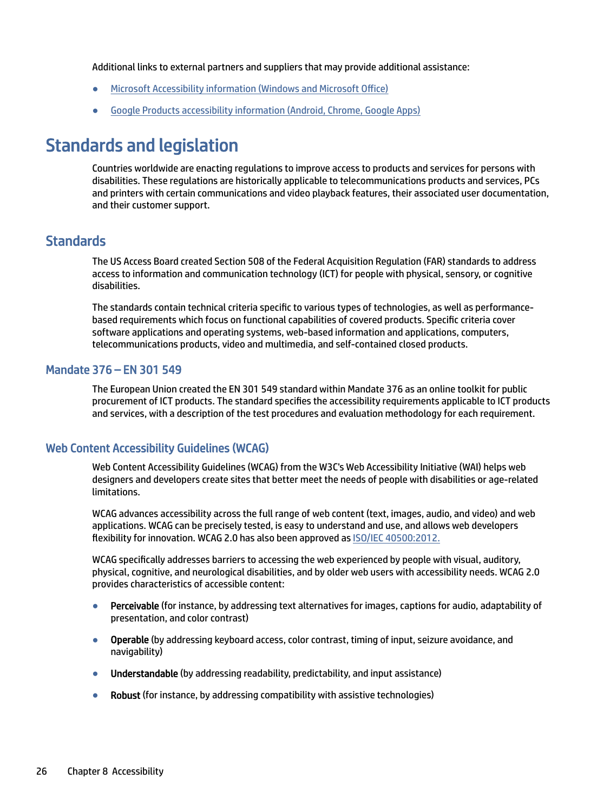<span id="page-30-0"></span>Additional links to external partners and suppliers that may provide additional assistance:

- [Microsoft Accessibility information \(Windows and Microsoft Office\)](http://www.microsoft.com/enable)
- [Google Products accessibility information \(Android, Chrome, Google Apps\)](https://www.google.com/accessibility/)

# Standards and legislation

Countries worldwide are enacting regulations to improve access to products and services for persons with disabilities. These regulations are historically applicable to telecommunications products and services, PCs and printers with certain communications and video playback features, their associated user documentation, and their customer support.

## **Standards**

The US Access Board created Section 508 of the Federal Acquisition Regulation (FAR) standards to address access to information and communication technology (ICT) for people with physical, sensory, or cognitive disabilities.

The standards contain technical criteria specific to various types of technologies, as well as performancebased requirements which focus on functional capabilities of covered products. Specific criteria cover software applications and operating systems, web-based information and applications, computers, telecommunications products, video and multimedia, and self-contained closed products.

#### Mandate 376 – EN 301 549

The European Union created the EN 301 549 standard within Mandate 376 as an online toolkit for public procurement of ICT products. The standard specifies the accessibility requirements applicable to ICT products and services, with a description of the test procedures and evaluation methodology for each requirement.

### Web Content Accessibility Guidelines (WCAG)

Web Content Accessibility Guidelines (WCAG) from the W3C's Web Accessibility Initiative (WAI) helps web designers and developers create sites that better meet the needs of people with disabilities or age-related limitations.

WCAG advances accessibility across the full range of web content (text, images, audio, and video) and web applications. WCAG can be precisely tested, is easy to understand and use, and allows web developers flexibility for innovation. WCAG 2.0 has also been approved as [ISO/IEC 40500:2012.](http://www.iso.org/iso/iso_catalogue/catalogue_tc/catalogue_detail.htm?csnumber=58625/)

WCAG specifically addresses barriers to accessing the web experienced by people with visual, auditory, physical, cognitive, and neurological disabilities, and by older web users with accessibility needs. WCAG 2.0 provides characteristics of accessible content:

- Perceivable (for instance, by addressing text alternatives for images, captions for audio, adaptability of presentation, and color contrast)
- Operable (by addressing keyboard access, color contrast, timing of input, seizure avoidance, and navigability)
- Understandable (by addressing readability, predictability, and input assistance)
- **Robust** (for instance, by addressing compatibility with assistive technologies)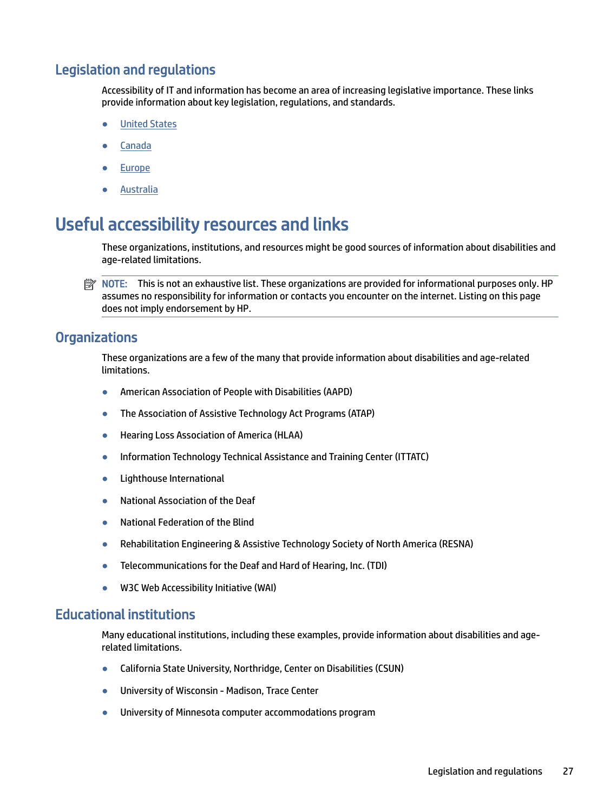## <span id="page-31-0"></span>Legislation and regulations

Accessibility of IT and information has become an area of increasing legislative importance. These links provide information about key legislation, regulations, and standards.

- **[United States](http://www8.hp.com/us/en/hp-information/accessibility-aging/legislation-regulation.html#united-states)**
- **[Canada](http://www8.hp.com/us/en/hp-information/accessibility-aging/legislation-regulation.html#canada)**
- **[Europe](http://www8.hp.com/us/en/hp-information/accessibility-aging/legislation-regulation.html#europe)**
- **[Australia](http://www8.hp.com/us/en/hp-information/accessibility-aging/legislation-regulation.html#australia)**

# Useful accessibility resources and links

These organizations, institutions, and resources might be good sources of information about disabilities and age-related limitations.

 $\mathbb{P}$  NOTE: This is not an exhaustive list. These organizations are provided for informational purposes only. HP assumes no responsibility for information or contacts you encounter on the internet. Listing on this page does not imply endorsement by HP.

## **Organizations**

These organizations are a few of the many that provide information about disabilities and age-related limitations.

- American Association of People with Disabilities (AAPD)
- The Association of Assistive Technology Act Programs (ATAP)
- Hearing Loss Association of America (HLAA)
- Information Technology Technical Assistance and Training Center (ITTATC)
- **Lighthouse International**
- **National Association of the Deaf**
- **National Federation of the Blind**
- Rehabilitation Engineering & Assistive Technology Society of North America (RESNA)
- Telecommunications for the Deaf and Hard of Hearing, Inc. (TDI)
- W3C Web Accessibility Initiative (WAI)

## Educational institutions

Many educational institutions, including these examples, provide information about disabilities and agerelated limitations.

- California State University, Northridge, Center on Disabilities (CSUN)
- University of Wisconsin Madison, Trace Center
- University of Minnesota computer accommodations program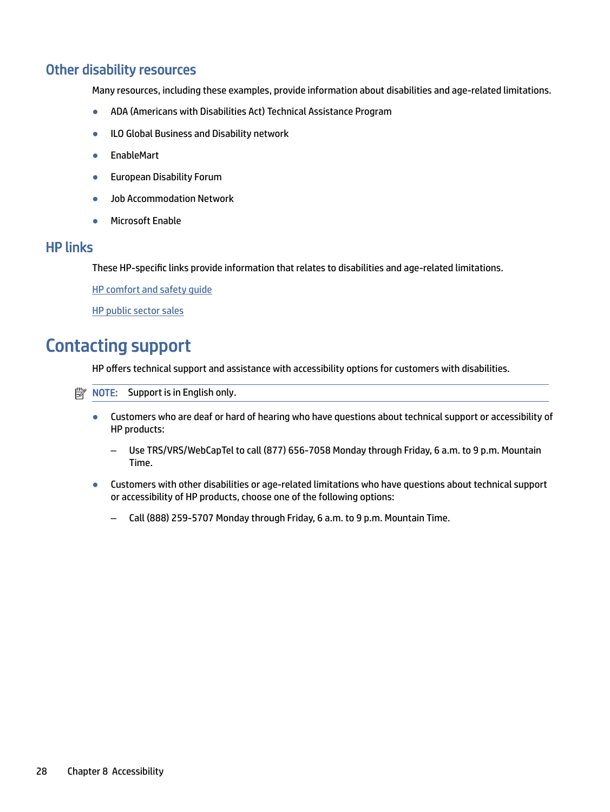## <span id="page-32-0"></span>Other disability resources

Many resources, including these examples, provide information about disabilities and age-related limitations.

- ADA (Americans with Disabilities Act) Technical Assistance Program
- ILO Global Business and Disability network
- EnableMart
- European Disability Forum
- Job Accommodation Network
- Microsoft Enable

## HP links

These HP-specific links provide information that relates to disabilities and age-related limitations.

[HP comfort and safety guide](http://www8.hp.com/us/en/hp-information/ergo/index.html) 

[HP public sector sales](https://government.hp.com/)

# Contacting support

HP offers technical support and assistance with accessibility options for customers with disabilities.

 $\mathbb{R}$  NOTE: Support is in English only.

- Customers who are deaf or hard of hearing who have questions about technical support or accessibility of HP products:
	- Use TRS/VRS/WebCapTel to call (877) 656-7058 Monday through Friday, 6 a.m. to 9 p.m. Mountain Time.
- Customers with other disabilities or age-related limitations who have questions about technical support or accessibility of HP products, choose one of the following options:
	- Call (888) 259-5707 Monday through Friday, 6 a.m. to 9 p.m. Mountain Time.